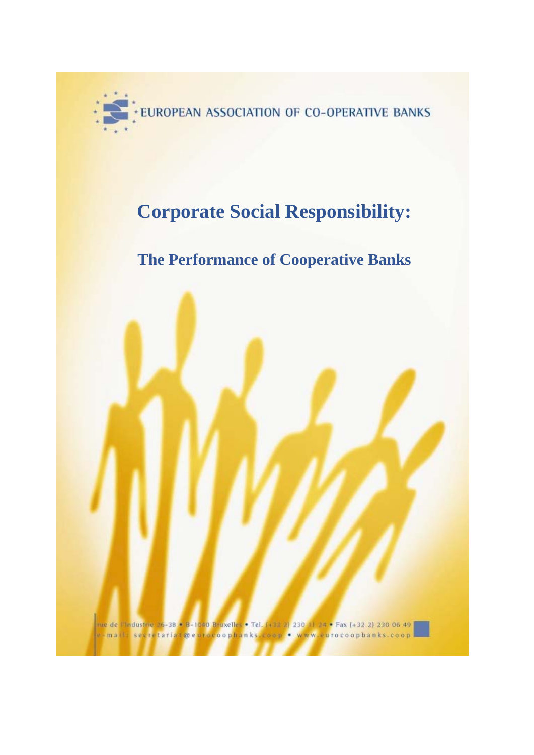

# **Corporate Social Responsibility:**

# **The Performance of Cooperative Banks**

nue de l'Industrie 36-38/6/8-1040 Bruxelles . Tel. (133-2) 230-11-24 . Fax (132-2) 230-06-49 segretariat@eurovoophanks.coop . www.eurocoophanks.coop  $-m.a$ <sup>(1)</sup>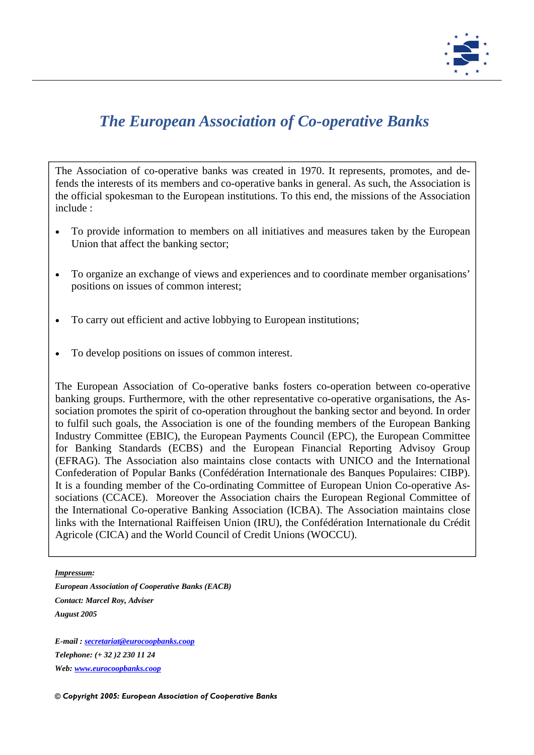

## *The European Association of Co-operative Banks*

The Association of co-operative banks was created in 1970. It represents, promotes, and defends the interests of its members and co-operative banks in general. As such, the Association is the official spokesman to the European institutions. To this end, the missions of the Association include :

- To provide information to members on all initiatives and measures taken by the European Union that affect the banking sector;
- To organize an exchange of views and experiences and to coordinate member organisations' positions on issues of common interest;
- To carry out efficient and active lobbying to European institutions;
- To develop positions on issues of common interest.

The European Association of Co-operative banks fosters co-operation between co-operative banking groups. Furthermore, with the other representative co-operative organisations, the Association promotes the spirit of co-operation throughout the banking sector and beyond. In order to fulfil such goals, the Association is one of the founding members of the European Banking Industry Committee (EBIC), the European Payments Council (EPC), the European Committee for Banking Standards (ECBS) and the European Financial Reporting Advisoy Group (EFRAG). The Association also maintains close contacts with UNICO and the International Confederation of Popular Banks (Confédération Internationale des Banques Populaires: CIBP). It is a founding member of the Co-ordinating Committee of European Union Co-operative Associations (CCACE). Moreover the Association chairs the European Regional Committee of the International Co-operative Banking Association (ICBA). The Association maintains close links with the International Raiffeisen Union (IRU), the Confédération Internationale du Crédit Agricole (CICA) and the World Council of Credit Unions (WOCCU).

### *Impressum:*

*European Association of Cooperative Banks (EACB) Contact: Marcel Roy, Adviser August 2005* 

*E-mail : secretariat@eurocoopbanks.coop Telephone: (+ 32 )2 230 11 24 Web: www.eurocoopbanks.coop*

*© Copyright 2005: European Association of Cooperative Banks*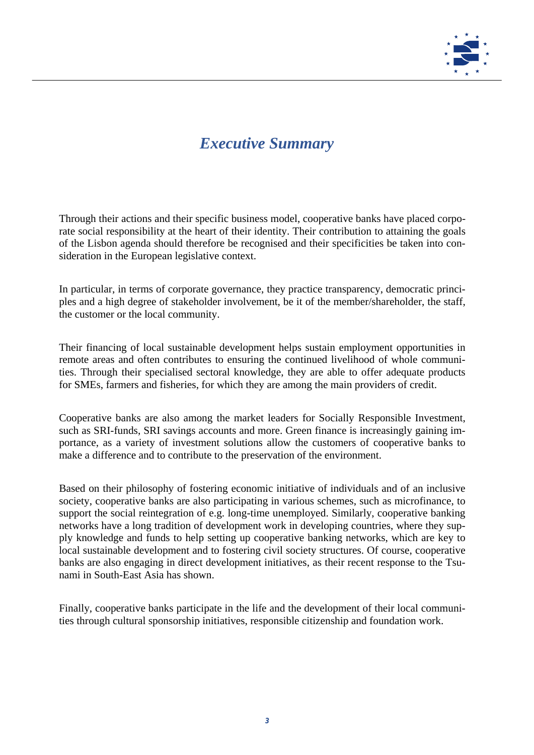

## *Executive Summary*

Through their actions and their specific business model, cooperative banks have placed corporate social responsibility at the heart of their identity. Their contribution to attaining the goals of the Lisbon agenda should therefore be recognised and their specificities be taken into consideration in the European legislative context.

In particular, in terms of corporate governance, they practice transparency, democratic principles and a high degree of stakeholder involvement, be it of the member/shareholder, the staff, the customer or the local community.

Their financing of local sustainable development helps sustain employment opportunities in remote areas and often contributes to ensuring the continued livelihood of whole communities. Through their specialised sectoral knowledge, they are able to offer adequate products for SMEs, farmers and fisheries, for which they are among the main providers of credit.

Cooperative banks are also among the market leaders for Socially Responsible Investment, such as SRI-funds, SRI savings accounts and more. Green finance is increasingly gaining importance, as a variety of investment solutions allow the customers of cooperative banks to make a difference and to contribute to the preservation of the environment.

Based on their philosophy of fostering economic initiative of individuals and of an inclusive society, cooperative banks are also participating in various schemes, such as microfinance, to support the social reintegration of e.g. long-time unemployed. Similarly, cooperative banking networks have a long tradition of development work in developing countries, where they supply knowledge and funds to help setting up cooperative banking networks, which are key to local sustainable development and to fostering civil society structures. Of course, cooperative banks are also engaging in direct development initiatives, as their recent response to the Tsunami in South-East Asia has shown.

Finally, cooperative banks participate in the life and the development of their local communities through cultural sponsorship initiatives, responsible citizenship and foundation work.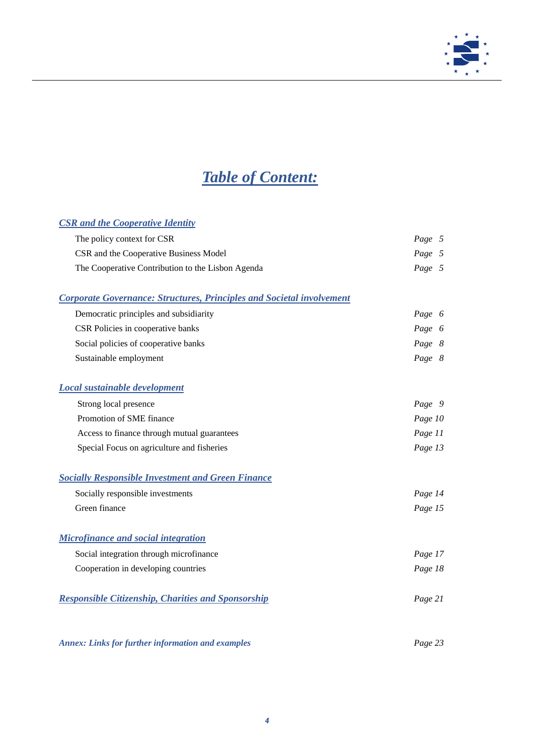

# *Table of Content:*

## *CSR and the Cooperative Identity*

| The policy context for CSR                                                   | Page 5  |
|------------------------------------------------------------------------------|---------|
| CSR and the Cooperative Business Model                                       | Page 5  |
| The Cooperative Contribution to the Lisbon Agenda                            | Page 5  |
|                                                                              |         |
| <b>Corporate Governance: Structures, Principles and Societal involvement</b> |         |
| Democratic principles and subsidiarity                                       | Page 6  |
| CSR Policies in cooperative banks                                            | Page 6  |
| Social policies of cooperative banks                                         | Page 8  |
| Sustainable employment                                                       | Page 8  |
|                                                                              |         |
| <b>Local sustainable development</b>                                         |         |
| Strong local presence                                                        | Page 9  |
| Promotion of SME finance                                                     | Page 10 |
| Access to finance through mutual guarantees                                  | Page 11 |
| Special Focus on agriculture and fisheries                                   | Page 13 |
|                                                                              |         |
| <b>Socially Responsible Investment and Green Finance</b>                     |         |
| Socially responsible investments                                             | Page 14 |

| Green finance                                             | Page 15 |  |
|-----------------------------------------------------------|---------|--|
| <b>Microfinance and social integration</b>                |         |  |
| Social integration through microfinance                   | Page 17 |  |
| Cooperation in developing countries                       | Page 18 |  |
| <b>Responsible Citizenship, Charities and Sponsorship</b> | Page 21 |  |
|                                                           |         |  |

*Annex: Links for further information and examples Page 23*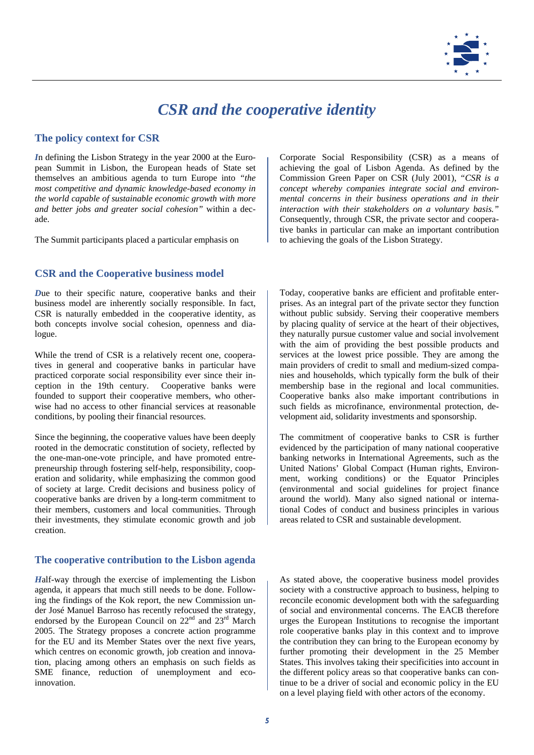

## *CSR and the cooperative identity*

## **The policy context for CSR**

*I*n defining the Lisbon Strategy in the year 2000 at the European Summit in Lisbon, the European heads of State set themselves an ambitious agenda to turn Europe into *"the most competitive and dynamic knowledge-based economy in the world capable of sustainable economic growth with more and better jobs and greater social cohesion"* within a decade.

The Summit participants placed a particular emphasis on

## **CSR and the Cooperative business model**

*D*ue to their specific nature, cooperative banks and their business model are inherently socially responsible. In fact, CSR is naturally embedded in the cooperative identity, as both concepts involve social cohesion, openness and dialogue.

While the trend of CSR is a relatively recent one, cooperatives in general and cooperative banks in particular have practiced corporate social responsibility ever since their inception in the 19th century. Cooperative banks were founded to support their cooperative members, who otherwise had no access to other financial services at reasonable conditions, by pooling their financial resources.

Since the beginning, the cooperative values have been deeply rooted in the democratic constitution of society, reflected by the one-man-one-vote principle, and have promoted entrepreneurship through fostering self-help, responsibility, cooperation and solidarity, while emphasizing the common good of society at large. Credit decisions and business policy of cooperative banks are driven by a long-term commitment to their members, customers and local communities. Through their investments, they stimulate economic growth and job creation.

### **The cooperative contribution to the Lisbon agenda**

*H*alf-way through the exercise of implementing the Lisbon agenda, it appears that much still needs to be done. Following the findings of the Kok report, the new Commission under José Manuel Barroso has recently refocused the strategy, endorsed by the European Council on 22<sup>nd</sup> and 23<sup>rd</sup> March 2005. The Strategy proposes a concrete action programme for the EU and its Member States over the next five years, which centres on economic growth, job creation and innovation, placing among others an emphasis on such fields as SME finance, reduction of unemployment and ecoinnovation.

Corporate Social Responsibility (CSR) as a means of achieving the goal of Lisbon Agenda. As defined by the Commission Green Paper on CSR (July 2001), *"CSR is a concept whereby companies integrate social and environmental concerns in their business operations and in their interaction with their stakeholders on a voluntary basis."* Consequently, through CSR, the private sector and cooperative banks in particular can make an important contribution to achieving the goals of the Lisbon Strategy.

Today, cooperative banks are efficient and profitable enterprises. As an integral part of the private sector they function without public subsidy. Serving their cooperative members by placing quality of service at the heart of their objectives, they naturally pursue customer value and social involvement with the aim of providing the best possible products and services at the lowest price possible. They are among the main providers of credit to small and medium-sized companies and households, which typically form the bulk of their membership base in the regional and local communities. Cooperative banks also make important contributions in such fields as microfinance, environmental protection, development aid, solidarity investments and sponsorship.

The commitment of cooperative banks to CSR is further evidenced by the participation of many national cooperative banking networks in International Agreements, such as the United Nations' Global Compact (Human rights, Environment, working conditions) or the Equator Principles (environmental and social guidelines for project finance around the world). Many also signed national or international Codes of conduct and business principles in various areas related to CSR and sustainable development.

As stated above, the cooperative business model provides society with a constructive approach to business, helping to reconcile economic development both with the safeguarding of social and environmental concerns. The EACB therefore urges the European Institutions to recognise the important role cooperative banks play in this context and to improve the contribution they can bring to the European economy by further promoting their development in the 25 Member States. This involves taking their specificities into account in the different policy areas so that cooperative banks can continue to be a driver of social and economic policy in the EU on a level playing field with other actors of the economy.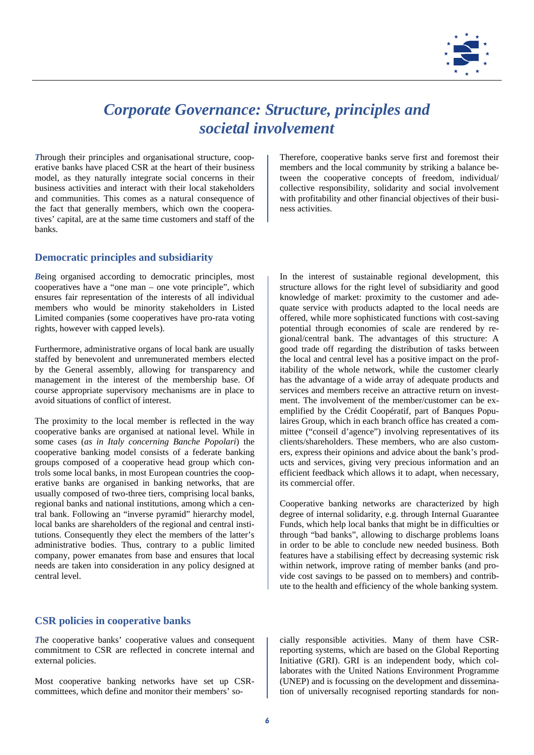

## *Corporate Governance: Structure, principles and societal involvement*

*T*hrough their principles and organisational structure, cooperative banks have placed CSR at the heart of their business model, as they naturally integrate social concerns in their business activities and interact with their local stakeholders and communities. This comes as a natural consequence of the fact that generally members, which own the cooperatives' capital, are at the same time customers and staff of the banks.

## **Democratic principles and subsidiarity**

*B*eing organised according to democratic principles, most cooperatives have a "one man – one vote principle", which ensures fair representation of the interests of all individual members who would be minority stakeholders in Listed Limited companies (some cooperatives have pro-rata voting rights, however with capped levels).

Furthermore, administrative organs of local bank are usually staffed by benevolent and unremunerated members elected by the General assembly, allowing for transparency and management in the interest of the membership base. Of course appropriate supervisory mechanisms are in place to avoid situations of conflict of interest.

The proximity to the local member is reflected in the way cooperative banks are organised at national level. While in some cases (*as in Italy concerning Banche Popolari*) the cooperative banking model consists of a federate banking groups composed of a cooperative head group which controls some local banks, in most European countries the cooperative banks are organised in banking networks, that are usually composed of two-three tiers, comprising local banks, regional banks and national institutions, among which a central bank. Following an "inverse pyramid" hierarchy model, local banks are shareholders of the regional and central institutions. Consequently they elect the members of the latter's administrative bodies. Thus, contrary to a public limited company, power emanates from base and ensures that local needs are taken into consideration in any policy designed at central level.

### **CSR policies in cooperative banks**

*T*he cooperative banks' cooperative values and consequent commitment to CSR are reflected in concrete internal and external policies.

Most cooperative banking networks have set up CSRcommittees, which define and monitor their members' soTherefore, cooperative banks serve first and foremost their members and the local community by striking a balance between the cooperative concepts of freedom, individual/ collective responsibility, solidarity and social involvement with profitability and other financial objectives of their business activities.

In the interest of sustainable regional development, this structure allows for the right level of subsidiarity and good knowledge of market: proximity to the customer and adequate service with products adapted to the local needs are offered, while more sophisticated functions with cost-saving potential through economies of scale are rendered by regional/central bank. The advantages of this structure: A good trade off regarding the distribution of tasks between the local and central level has a positive impact on the profitability of the whole network, while the customer clearly has the advantage of a wide array of adequate products and services and members receive an attractive return on investment. The involvement of the member/customer can be exemplified by the Crédit Coopératif, part of Banques Populaires Group, which in each branch office has created a committee ("conseil d'agence") involving representatives of its clients/shareholders. These members, who are also customers, express their opinions and advice about the bank's products and services, giving very precious information and an efficient feedback which allows it to adapt, when necessary, its commercial offer.

Cooperative banking networks are characterized by high degree of internal solidarity, e.g. through Internal Guarantee Funds, which help local banks that might be in difficulties or through "bad banks", allowing to discharge problems loans in order to be able to conclude new needed business. Both features have a stabilising effect by decreasing systemic risk within network, improve rating of member banks (and provide cost savings to be passed on to members) and contribute to the health and efficiency of the whole banking system.

cially responsible activities. Many of them have CSRreporting systems, which are based on the Global Reporting Initiative (GRI). GRI is an independent body, which collaborates with the United Nations Environment Programme (UNEP) and is focussing on the development and dissemination of universally recognised reporting standards for non-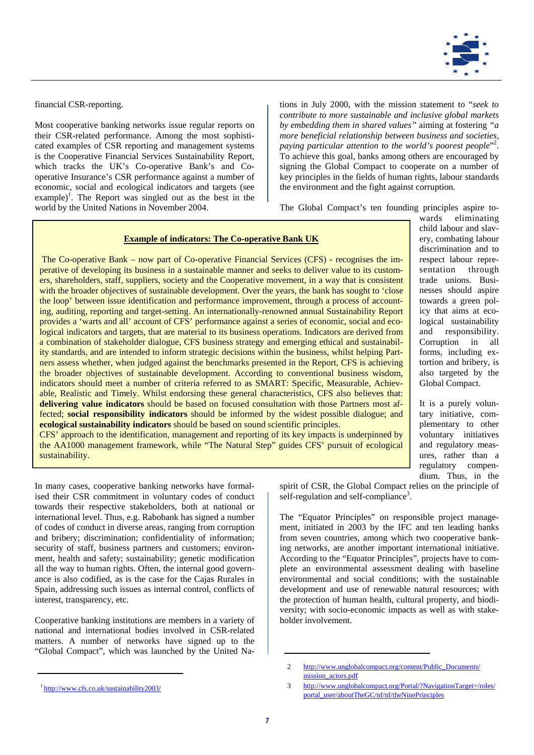

wards eliminating child labour and slavery, combating labour discrimination and to respect labour representation through trade unions. Businesses should aspire towards a green policy that aims at ecological sustainability and responsibility. Corruption in all forms, including extortion and bribery, is also targeted by the Global Compact.

It is a purely voluntary initiative, complementary to other voluntary initiatives and regulatory measures, rather than a regulatory compendium. Thus, in the

financial CSR-reporting.

Most cooperative banking networks issue regular reports on their CSR-related performance. Among the most sophisticated examples of CSR reporting and management systems is the Cooperative Financial Services Sustainability Report, which tracks the UK's Co-operative Bank's and Cooperative Insurance's CSR performance against a number of economic, social and ecological indicators and targets (see example)<sup>1</sup>. The Report was singled out as the best in the world by the United Nations in November 2004.

tions in July 2000, with the mission statement to "*seek to contribute to more sustainable and inclusive global markets by embedding them in shared values"* aiming at fostering *"a more beneficial relationship between business and societies,*  paying particular attention to the world's poorest people<sup>"2</sup>. To achieve this goal, banks among others are encouraged by signing the Global Compact to cooperate on a number of key principles in the fields of human rights, labour standards the environment and the fight against corruption.

The Global Compact's ten founding principles aspire to-

#### **Example of indicators: The Co-operative Bank UK**

 The Co-operative Bank – now part of Co-operative Financial Services (CFS) - recognises the imperative of developing its business in a sustainable manner and seeks to deliver value to its customers, shareholders, staff, suppliers, society and the Cooperative movement, in a way that is consistent with the broader objectives of sustainable development. Over the years, the bank has sought to 'close the loop' between issue identification and performance improvement, through a process of accounting, auditing, reporting and target-setting. An internationally-renowned annual Sustainability Report provides a 'warts and all' account of CFS' performance against a series of economic, social and ecological indicators and targets, that are material to its business operations. Indicators are derived from a combination of stakeholder dialogue, CFS business strategy and emerging ethical and sustainability standards, and are intended to inform strategic decisions within the business, whilst helping Partners assess whether, when judged against the benchmarks presented in the Report, CFS is achieving the broader objectives of sustainable development. According to conventional business wisdom, indicators should meet a number of criteria referred to as SMART: Specific, Measurable, Achievable, Realistic and Timely. Whilst endorsing these general characteristics, CFS also believes that: **delivering value indicators** should be based on focused consultation with those Partners most affected; **social responsibility indicators** should be informed by the widest possible dialogue; and **ecological sustainability indicators** should be based on sound scientific principles.

CFS' approach to the identification, management and reporting of its key impacts is underpinned by the AA1000 management framework, while "The Natural Step" guides CFS' pursuit of ecological sustainability.

In many cases, cooperative banking networks have formalised their CSR commitment in voluntary codes of conduct towards their respective stakeholders, both at national or international level. Thus, e.g. Rabobank has signed a number of codes of conduct in diverse areas, ranging from corruption and bribery; discrimination; confidentiality of information; security of staff, business partners and customers; environment, health and safety; sustainability; genetic modification all the way to human rights. Often, the internal good governance is also codified, as is the case for the Cajas Rurales in Spain, addressing such issues as internal control, conflicts of interest, transparency, etc.

Cooperative banking institutions are members in a variety of national and international bodies involved in CSR-related matters. A number of networks have signed up to the "Global Compact", which was launched by the United Naspirit of CSR, the Global Compact relies on the principle of self-regulation and self-compliance<sup>3</sup>.

The "Equator Principles" on responsible project management, initiated in 2003 by the IFC and ten leading banks from seven countries, among which two cooperative banking networks, are another important international initiative. According to the "Equator Principles", projects have to complete an environmental assessment dealing with baseline environmental and social conditions; with the sustainable development and use of renewable natural resources; with the protection of human health, cultural property, and biodiversity; with socio-economic impacts as well as with stakeholder involvement.

<sup>2</sup> http://www.unglobalcompact.org/content/Public\_Documents/ mission\_actors.pdf

<sup>3</sup> http://www.unglobalcompact.org/Portal/?NavigationTarget=/roles/ portal\_user/aboutTheGC/nf/nf/theNinePrinciples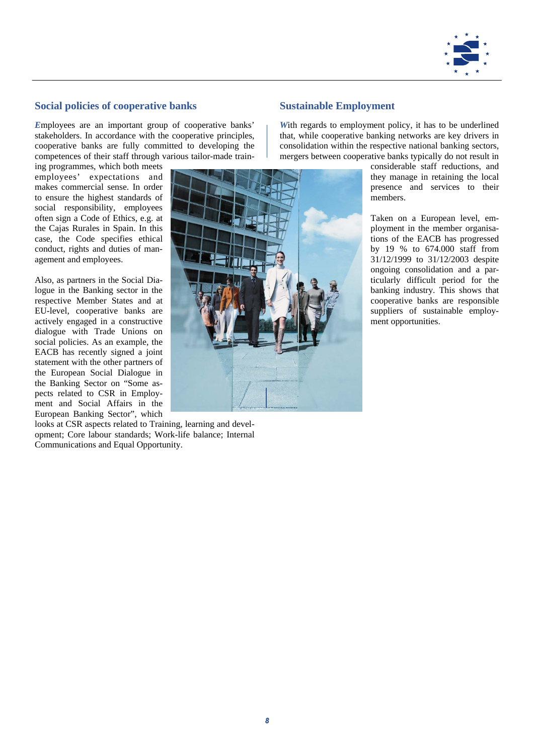

## **Social policies of cooperative banks**

*E*mployees are an important group of cooperative banks' stakeholders. In accordance with the cooperative principles, cooperative banks are fully committed to developing the competences of their staff through various tailor-made train-

ing programmes, which both meets employees' expectations and makes commercial sense. In order to ensure the highest standards of social responsibility, employees often sign a Code of Ethics, e.g. at the Cajas Rurales in Spain. In this case, the Code specifies ethical conduct, rights and duties of management and employees.

Also, as partners in the Social Dialogue in the Banking sector in the respective Member States and at EU-level, cooperative banks are actively engaged in a constructive dialogue with Trade Unions on social policies. As an example, the EACB has recently signed a joint statement with the other partners of the European Social Dialogue in the Banking Sector on "Some aspects related to CSR in Employment and Social Affairs in the European Banking Sector", which

looks at CSR aspects related to Training, learning and development; Core labour standards; Work-life balance; Internal Communications and Equal Opportunity.

## **Sustainable Employment**

*W*ith regards to employment policy, it has to be underlined that, while cooperative banking networks are key drivers in consolidation within the respective national banking sectors, mergers between cooperative banks typically do not result in

> considerable staff reductions, and they manage in retaining the local presence and services to their members.

> Taken on a European level, employment in the member organisations of the EACB has progressed by 19 % to 674.000 staff from 31/12/1999 to 31/12/2003 despite ongoing consolidation and a particularly difficult period for the banking industry. This shows that cooperative banks are responsible suppliers of sustainable employment opportunities.

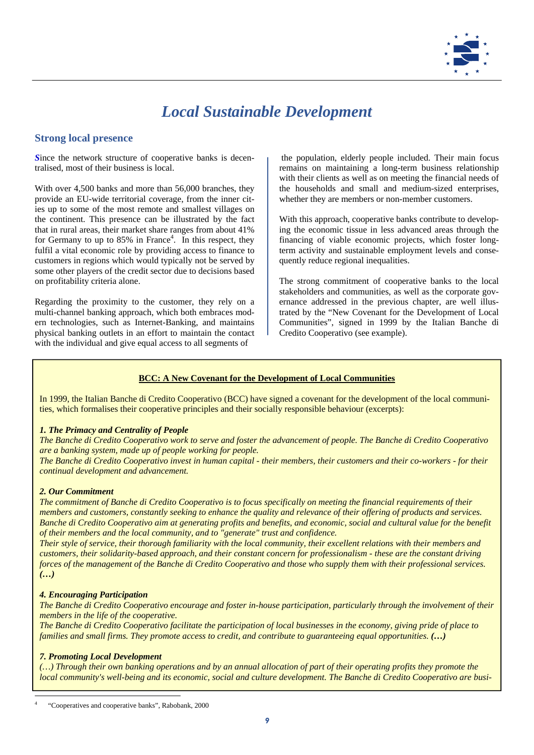

## *Local Sustainable Development*

## **Strong local presence**

*S*ince the network structure of cooperative banks is decentralised, most of their business is local.

With over 4,500 banks and more than 56,000 branches, they provide an EU-wide territorial coverage, from the inner cities up to some of the most remote and smallest villages on the continent. This presence can be illustrated by the fact that in rural areas, their market share ranges from about 41% for Germany to up to  $85\%$  in France<sup>4</sup>. In this respect, they fulfil a vital economic role by providing access to finance to customers in regions which would typically not be served by some other players of the credit sector due to decisions based on profitability criteria alone.

Regarding the proximity to the customer, they rely on a multi-channel banking approach, which both embraces modern technologies, such as Internet-Banking, and maintains physical banking outlets in an effort to maintain the contact with the individual and give equal access to all segments of

 the population, elderly people included. Their main focus remains on maintaining a long-term business relationship with their clients as well as on meeting the financial needs of the households and small and medium-sized enterprises, whether they are members or non-member customers.

With this approach, cooperative banks contribute to developing the economic tissue in less advanced areas through the financing of viable economic projects, which foster longterm activity and sustainable employment levels and consequently reduce regional inequalities.

The strong commitment of cooperative banks to the local stakeholders and communities, as well as the corporate governance addressed in the previous chapter, are well illustrated by the "New Covenant for the Development of Local Communities", signed in 1999 by the Italian Banche di Credito Cooperativo (see example).

## **BCC: A New Covenant for the Development of Local Communities**

In 1999, the Italian Banche di Credito Cooperativo (BCC) have signed a covenant for the development of the local communities, which formalises their cooperative principles and their socially responsible behaviour (excerpts):

## *1. The Primacy and Centrality of People*

*The Banche di Credito Cooperativo work to serve and foster the advancement of people. The Banche di Credito Cooperativo are a banking system, made up of people working for people.* 

*The Banche di Credito Cooperativo invest in human capital - their members, their customers and their co-workers - for their continual development and advancement.* 

### *2. Our Commitment*

*The commitment of Banche di Credito Cooperativo is to focus specifically on meeting the financial requirements of their members and customers, constantly seeking to enhance the quality and relevance of their offering of products and services. Banche di Credito Cooperativo aim at generating profits and benefits, and economic, social and cultural value for the benefit of their members and the local community, and to "generate" trust and confidence.* 

*Their style of service, their thorough familiarity with the local community, their excellent relations with their members and customers, their solidarity-based approach, and their constant concern for professionalism - these are the constant driving forces of the management of the Banche di Credito Cooperativo and those who supply them with their professional services. (…)*

### *4. Encouraging Participation*

*The Banche di Credito Cooperativo encourage and foster in-house participation, particularly through the involvement of their members in the life of the cooperative.* 

*The Banche di Credito Cooperativo facilitate the participation of local businesses in the economy, giving pride of place to families and small firms. They promote access to credit, and contribute to guaranteeing equal opportunities. (…)*

### *7. Promoting Local Development*

*(…) Through their own banking operations and by an annual allocation of part of their operating profits they promote the local community's well-being and its economic, social and culture development. The Banche di Credito Cooperativo are busi-*

4 "Cooperatives and cooperative banks", Rabobank, 2000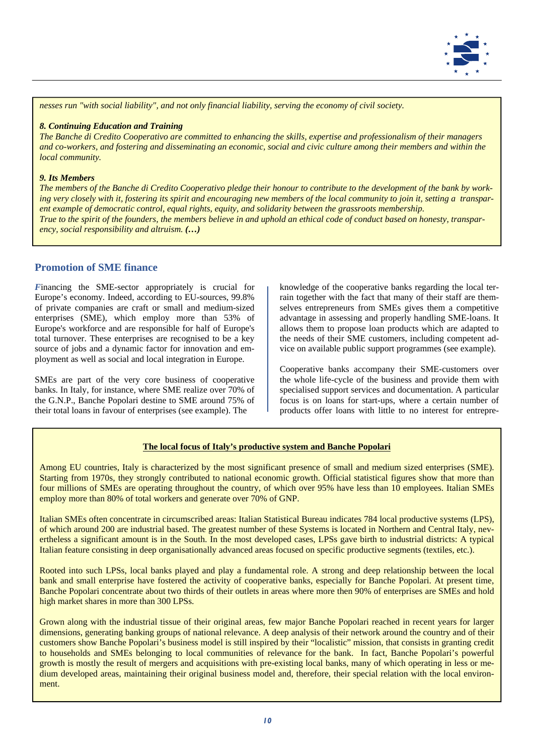

*nesses run "with social liability", and not only financial liability, serving the economy of civil society.* 

#### *8. Continuing Education and Training*

*The Banche di Credito Cooperativo are committed to enhancing the skills, expertise and professionalism of their managers and co-workers, and fostering and disseminating an economic, social and civic culture among their members and within the local community.* 

#### *9. Its Members*

*The members of the Banche di Credito Cooperativo pledge their honour to contribute to the development of the bank by working very closely with it, fostering its spirit and encouraging new members of the local community to join it, setting a transparent example of democratic control, equal rights, equity, and solidarity between the grassroots membership. True to the spirit of the founders, the members believe in and uphold an ethical code of conduct based on honesty, transparency, social responsibility and altruism. (…)* 

## **Promotion of SME finance**

*F*inancing the SME-sector appropriately is crucial for Europe's economy. Indeed, according to EU-sources, 99.8% of private companies are craft or small and medium-sized enterprises (SME), which employ more than 53% of Europe's workforce and are responsible for half of Europe's total turnover. These enterprises are recognised to be a key source of jobs and a dynamic factor for innovation and employment as well as social and local integration in Europe.

SMEs are part of the very core business of cooperative banks. In Italy, for instance, where SME realize over 70% of the G.N.P., Banche Popolari destine to SME around 75% of their total loans in favour of enterprises (see example). The

knowledge of the cooperative banks regarding the local terrain together with the fact that many of their staff are themselves entrepreneurs from SMEs gives them a competitive advantage in assessing and properly handling SME-loans. It allows them to propose loan products which are adapted to the needs of their SME customers, including competent advice on available public support programmes (see example).

Cooperative banks accompany their SME-customers over the whole life-cycle of the business and provide them with specialised support services and documentation. A particular focus is on loans for start-ups, where a certain number of products offer loans with little to no interest for entrepre-

### **The local focus of Italy's productive system and Banche Popolari**

Among EU countries, Italy is characterized by the most significant presence of small and medium sized enterprises (SME). Starting from 1970s, they strongly contributed to national economic growth. Official statistical figures show that more than four millions of SMEs are operating throughout the country, of which over 95% have less than 10 employees. Italian SMEs employ more than 80% of total workers and generate over 70% of GNP.

Italian SMEs often concentrate in circumscribed areas: Italian Statistical Bureau indicates 784 local productive systems (LPS), of which around 200 are industrial based. The greatest number of these Systems is located in Northern and Central Italy, nevertheless a significant amount is in the South. In the most developed cases, LPSs gave birth to industrial districts: A typical Italian feature consisting in deep organisationally advanced areas focused on specific productive segments (textiles, etc.).

Rooted into such LPSs, local banks played and play a fundamental role. A strong and deep relationship between the local bank and small enterprise have fostered the activity of cooperative banks, especially for Banche Popolari. At present time, Banche Popolari concentrate about two thirds of their outlets in areas where more then 90% of enterprises are SMEs and hold high market shares in more than 300 LPSs.

Grown along with the industrial tissue of their original areas, few major Banche Popolari reached in recent years for larger dimensions, generating banking groups of national relevance. A deep analysis of their network around the country and of their customers show Banche Popolari's business model is still inspired by their "localistic" mission, that consists in granting credit to households and SMEs belonging to local communities of relevance for the bank. In fact, Banche Popolari's powerful growth is mostly the result of mergers and acquisitions with pre-existing local banks, many of which operating in less or medium developed areas, maintaining their original business model and, therefore, their special relation with the local environment.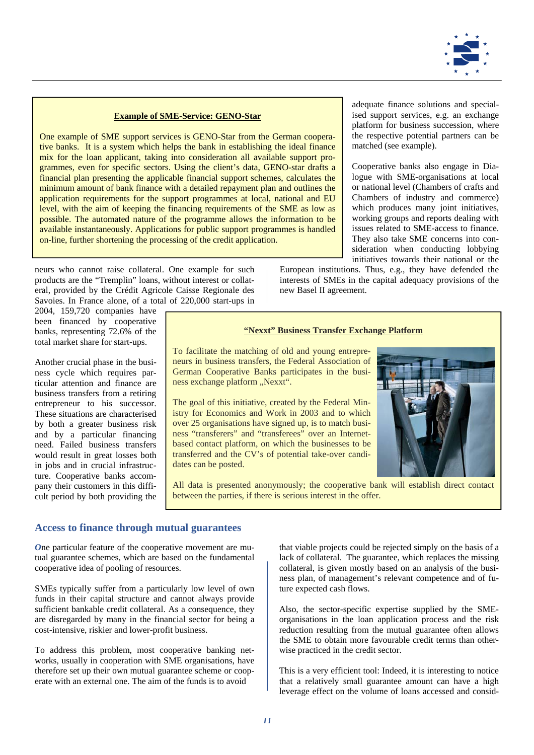

### **Example of SME-Service: GENO-Star**

One example of SME support services is GENO-Star from the German cooperative banks. It is a system which helps the bank in establishing the ideal finance mix for the loan applicant, taking into consideration all available support programmes, even for specific sectors. Using the client's data, GENO-star drafts a financial plan presenting the applicable financial support schemes, calculates the minimum amount of bank finance with a detailed repayment plan and outlines the application requirements for the support programmes at local, national and EU level, with the aim of keeping the financing requirements of the SME as low as possible. The automated nature of the programme allows the information to be available instantaneously. Applications for public support programmes is handled on-line, further shortening the processing of the credit application.

neurs who cannot raise collateral. One example for such products are the "Tremplin" loans, without interest or collateral, provided by the Crédit Agricole Caisse Regionale des Savoies. In France alone, of a total of 220,000 start-ups in

2004, 159,720 companies have been financed by cooperative banks, representing 72.6% of the total market share for start-ups.

Another crucial phase in the business cycle which requires particular attention and finance are business transfers from a retiring entrepreneur to his successor. These situations are characterised by both a greater business risk and by a particular financing need. Failed business transfers would result in great losses both in jobs and in crucial infrastructure. Cooperative banks accompany their customers in this difficult period by both providing the

new Basel II agreement.

**"Nexxt" Business Transfer Exchange Platform**

To facilitate the matching of old and young entrepreneurs in business transfers, the Federal Association of German Cooperative Banks participates in the business exchange platform "Nexxt".

The goal of this initiative, created by the Federal Ministry for Economics and Work in 2003 and to which over 25 organisations have signed up, is to match business "transferers" and "transferees" over an Internetbased contact platform, on which the businesses to be transferred and the CV's of potential take-over candidates can be posted.



All data is presented anonymously; the cooperative bank will establish direct contact between the parties, if there is serious interest in the offer.

### **Access to finance through mutual guarantees**

*O*ne particular feature of the cooperative movement are mutual guarantee schemes, which are based on the fundamental cooperative idea of pooling of resources.

SMEs typically suffer from a particularly low level of own funds in their capital structure and cannot always provide sufficient bankable credit collateral. As a consequence, they are disregarded by many in the financial sector for being a cost-intensive, riskier and lower-profit business.

To address this problem, most cooperative banking networks, usually in cooperation with SME organisations, have therefore set up their own mutual guarantee scheme or cooperate with an external one. The aim of the funds is to avoid

that viable projects could be rejected simply on the basis of a lack of collateral. The guarantee, which replaces the missing collateral, is given mostly based on an analysis of the business plan, of management's relevant competence and of future expected cash flows.

Also, the sector-specific expertise supplied by the SMEorganisations in the loan application process and the risk reduction resulting from the mutual guarantee often allows the SME to obtain more favourable credit terms than otherwise practiced in the credit sector.

This is a very efficient tool: Indeed, it is interesting to notice that a relatively small guarantee amount can have a high leverage effect on the volume of loans accessed and consid-

adequate finance solutions and specialised support services, e.g. an exchange platform for business succession, where the respective potential partners can be matched (see example).

Cooperative banks also engage in Dialogue with SME-organisations at local or national level (Chambers of crafts and Chambers of industry and commerce) which produces many joint initiatives, working groups and reports dealing with issues related to SME-access to finance. They also take SME concerns into consideration when conducting lobbying initiatives towards their national or the

European institutions. Thus, e.g., they have defended the interests of SMEs in the capital adequacy provisions of the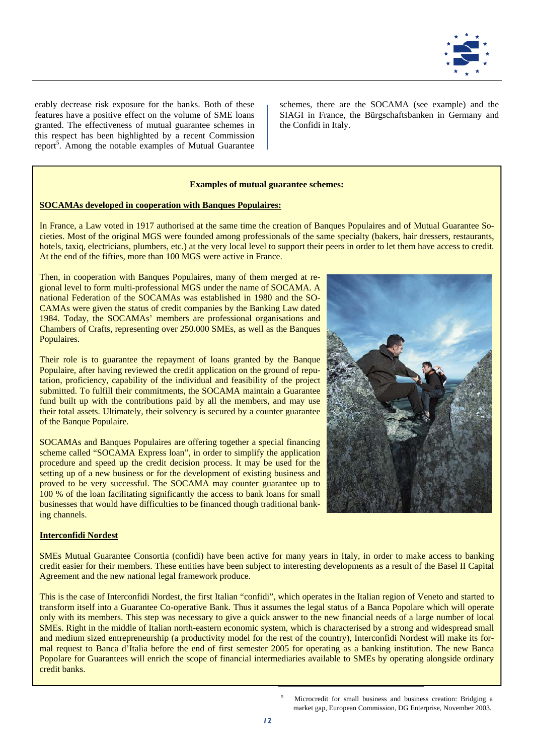

erably decrease risk exposure for the banks. Both of these features have a positive effect on the volume of SME loans granted. The effectiveness of mutual guarantee schemes in this respect has been highlighted by a recent Commission report<sup>5</sup>. Among the notable examples of Mutual Guarantee schemes, there are the SOCAMA (see example) and the SIAGI in France, the Bürgschaftsbanken in Germany and the Confidi in Italy.

## **Examples of mutual guarantee schemes:**

#### **SOCAMAs developed in cooperation with Banques Populaires:**

In France, a Law voted in 1917 authorised at the same time the creation of Banques Populaires and of Mutual Guarantee Societies. Most of the original MGS were founded among professionals of the same specialty (bakers, hair dressers, restaurants, hotels, taxiq, electricians, plumbers, etc.) at the very local level to support their peers in order to let them have access to credit. At the end of the fifties, more than 100 MGS were active in France.

Then, in cooperation with Banques Populaires, many of them merged at regional level to form multi-professional MGS under the name of SOCAMA. A national Federation of the SOCAMAs was established in 1980 and the SO-CAMAs were given the status of credit companies by the Banking Law dated 1984. Today, the SOCAMAs' members are professional organisations and Chambers of Crafts, representing over 250.000 SMEs, as well as the Banques Populaires.

Their role is to guarantee the repayment of loans granted by the Banque Populaire, after having reviewed the credit application on the ground of reputation, proficiency, capability of the individual and feasibility of the project submitted. To fulfill their commitments, the SOCAMA maintain a Guarantee fund built up with the contributions paid by all the members, and may use their total assets. Ultimately, their solvency is secured by a counter guarantee of the Banque Populaire.

SOCAMAs and Banques Populaires are offering together a special financing scheme called "SOCAMA Express loan", in order to simplify the application procedure and speed up the credit decision process. It may be used for the setting up of a new business or for the development of existing business and proved to be very successful. The SOCAMA may counter guarantee up to 100 % of the loan facilitating significantly the access to bank loans for small businesses that would have difficulties to be financed though traditional banking channels.



SMEs Mutual Guarantee Consortia (confidi) have been active for many years in Italy, in order to make access to banking credit easier for their members. These entities have been subject to interesting developments as a result of the Basel II Capital Agreement and the new national legal framework produce.

This is the case of Interconfidi Nordest, the first Italian "confidi", which operates in the Italian region of Veneto and started to transform itself into a Guarantee Co-operative Bank. Thus it assumes the legal status of a Banca Popolare which will operate only with its members. This step was necessary to give a quick answer to the new financial needs of a large number of local SMEs. Right in the middle of Italian north-eastern economic system, which is characterised by a strong and widespread small and medium sized entrepreneurship (a productivity model for the rest of the country), Interconfidi Nordest will make its formal request to Banca d'Italia before the end of first semester 2005 for operating as a banking institution. The new Banca Popolare for Guarantees will enrich the scope of financial intermediaries available to SMEs by operating alongside ordinary credit banks.

> 5 Microcredit for small business and business creation: Bridging a market gap, European Commission, DG Enterprise, November 2003.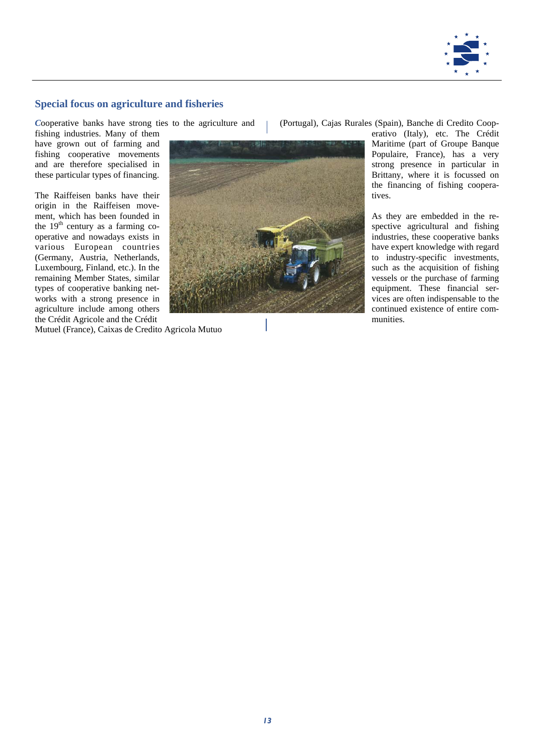

## **Special focus on agriculture and fisheries**

*C*ooperative banks have strong ties to the agriculture and fishing industries. Many of them have grown out of farming and fishing cooperative movements and are therefore specialised in these particular types of financing.

The Raiffeisen banks have their origin in the Raiffeisen movement, which has been founded in the  $19<sup>th</sup>$  century as a farming cooperative and nowadays exists in various European countries (Germany, Austria, Netherlands, Luxembourg, Finland, etc.). In the remaining Member States, similar types of cooperative banking networks with a strong presence in agriculture include among others the Crédit Agricole and the Crédit



(Portugal), Cajas Rurales (Spain), Banche di Credito Coop-

erativo (Italy), etc. The Crédit Maritime (part of Groupe Banque Populaire, France), has a very strong presence in particular in Brittany, where it is focussed on the financing of fishing cooperatives.

As they are embedded in the respective agricultural and fishing industries, these cooperative banks have expert knowledge with regard to industry-specific investments, such as the acquisition of fishing vessels or the purchase of farming equipment. These financial services are often indispensable to the continued existence of entire communities.

Mutuel (France), Caixas de Credito Agricola Mutuo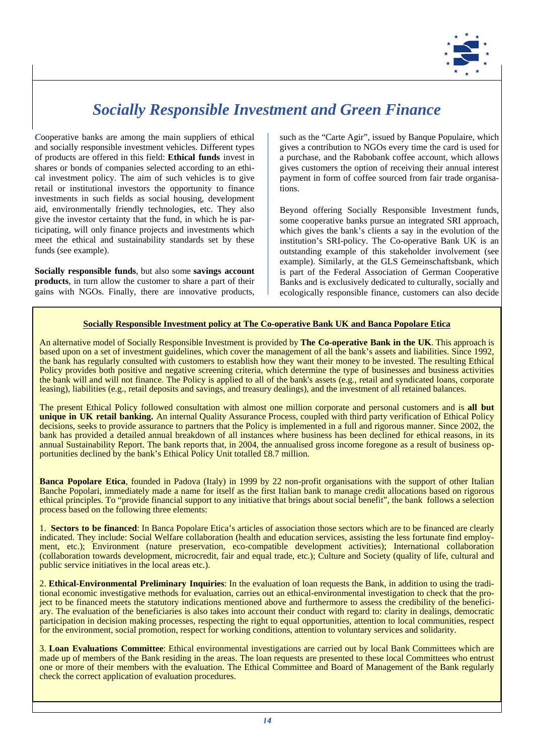

## *Socially Responsible Investment and Green Finance*

*C*ooperative banks are among the main suppliers of ethical and socially responsible investment vehicles. Different types of products are offered in this field: **Ethical funds** invest in shares or bonds of companies selected according to an ethical investment policy. The aim of such vehicles is to give retail or institutional investors the opportunity to finance investments in such fields as social housing, development aid, environmentally friendly technologies, etc. They also give the investor certainty that the fund, in which he is participating, will only finance projects and investments which meet the ethical and sustainability standards set by these funds (see example).

**Socially responsible funds**, but also some **savings account products**, in turn allow the customer to share a part of their gains with NGOs. Finally, there are innovative products, such as the "Carte Agir", issued by Banque Populaire, which gives a contribution to NGOs every time the card is used for a purchase, and the Rabobank coffee account, which allows gives customers the option of receiving their annual interest payment in form of coffee sourced from fair trade organisations.

Beyond offering Socially Responsible Investment funds, some cooperative banks pursue an integrated SRI approach, which gives the bank's clients a say in the evolution of the institution's SRI-policy. The Co-operative Bank UK is an outstanding example of this stakeholder involvement (see example). Similarly, at the GLS Gemeinschaftsbank, which is part of the Federal Association of German Cooperative Banks and is exclusively dedicated to culturally, socially and ecologically responsible finance, customers can also decide

## **Socially Responsible Investment policy at The Co-operative Bank UK and Banca Popolare Etica**

An alternative model of Socially Responsible Investment is provided by **The Co-operative Bank in the UK**. This approach is based upon on a set of investment guidelines, which cover the management of all the bank's assets and liabilities. Since 1992, the bank has regularly consulted with customers to establish how they want their money to be invested. The resulting Ethical Policy provides both positive and negative screening criteria, which determine the type of businesses and business activities the bank will and will not finance. The Policy is applied to all of the bank's assets (e.g., retail and syndicated loans, corporate leasing), liabilities (e.g., retail deposits and savings, and treasury dealings), and the investment of all retained balances.

The present Ethical Policy followed consultation with almost one million corporate and personal customers and is **all but**  unique in UK retail banking. An internal Quality Assurance Process, coupled with third party verification of Ethical Policy decisions, seeks to provide assurance to partners that the Policy is implemented in a full and rigorous manner. Since 2002, the bank has provided a detailed annual breakdown of all instances where business has been declined for ethical reasons, in its annual Sustainability Report. The bank reports that, in 2004, the annualised gross income foregone as a result of business opportunities declined by the bank's Ethical Policy Unit totalled £8.7 million.

**Banca Popolare Etica**, founded in Padova (Italy) in 1999 by 22 non-profit organisations with the support of other Italian Banche Popolari, immediately made a name for itself as the first Italian bank to manage credit allocations based on rigorous ethical principles. To "provide financial support to any initiative that brings about social benefit", the bank follows a selection process based on the following three elements:

1. **Sectors to be financed**: In Banca Popolare Etica's articles of association those sectors which are to be financed are clearly indicated. They include: Social Welfare collaboration (health and education services, assisting the less fortunate find employment, etc.); Environment (nature preservation, eco-compatible development activities); International collaboration (collaboration towards development, microcredit, fair and equal trade, etc.); Culture and Society (quality of life, cultural and public service initiatives in the local areas etc.).

2. **Ethical-Environmental Preliminary Inquiries**: In the evaluation of loan requests the Bank, in addition to using the traditional economic investigative methods for evaluation, carries out an ethical-environmental investigation to check that the project to be financed meets the statutory indications mentioned above and furthermore to assess the credibility of the beneficiary. The evaluation of the beneficiaries is also takes into account their conduct with regard to: clarity in dealings, democratic participation in decision making processes, respecting the right to equal opportunities, attention to local communities, respect for the environment, social promotion, respect for working conditions, attention to voluntary services and solidarity.

3. **Loan Evaluations Committee**: Ethical environmental investigations are carried out by local Bank Committees which are made up of members of the Bank residing in the areas. The loan requests are presented to these local Committees who entrust one or more of their members with the evaluation. The Ethical Committee and Board of Management of the Bank regularly check the correct application of evaluation procedures.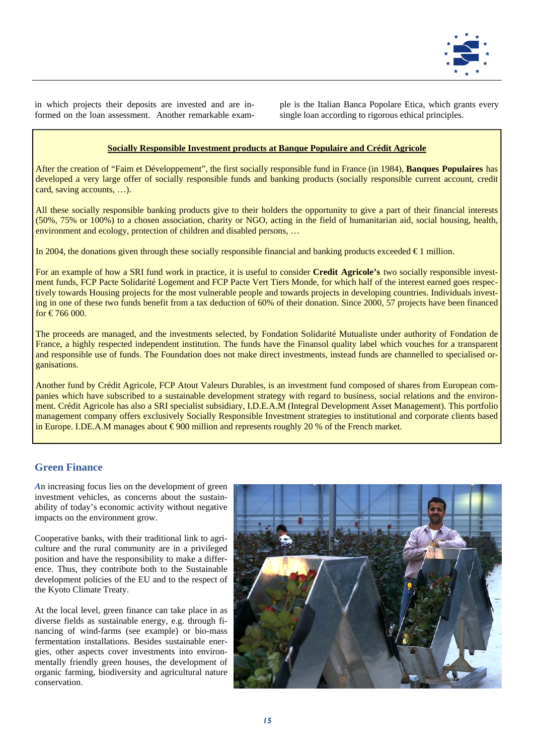

in which projects their deposits are invested and are informed on the loan assessment. Another remarkable example is the Italian Banca Popolare Etica, which grants every single loan according to rigorous ethical principles.

## **Socially Responsible Investment products at Banque Populaire and Crédit Agricole**

After the creation of "Faim et Développement", the first socially responsible fund in France (in 1984), **Banques Populaires** has developed a very large offer of socially responsible funds and banking products (socially responsible current account, credit card, saving accounts, …).

All these socially responsible banking products give to their holders the opportunity to give a part of their financial interests (50%, 75% or 100%) to a chosen association, charity or NGO, acting in the field of humanitarian aid, social housing, health, environment and ecology, protection of children and disabled persons, …

In 2004, the donations given through these socially responsible financial and banking products exceeded  $\epsilon_1$  million.

For an example of how a SRI fund work in practice, it is useful to consider **Credit Agricole's** two socially responsible investment funds, FCP Pacte Solidarité Logement and FCP Pacte Vert Tiers Monde, for which half of the interest earned goes respectively towards Housing projects for the most vulnerable people and towards projects in developing countries. Individuals investing in one of these two funds benefit from a tax deduction of 60% of their donation. Since 2000, 57 projects have been financed for €766 000.

The proceeds are managed, and the investments selected, by Fondation Solidarité Mutualiste under authority of Fondation de France, a highly respected independent institution. The funds have the Finansol quality label which vouches for a transparent and responsible use of funds. The Foundation does not make direct investments, instead funds are channelled to specialised organisations.

Another fund by Crédit Agricole, FCP Atout Valeurs Durables, is an investment fund composed of shares from European companies which have subscribed to a sustainable development strategy with regard to business, social relations and the environment. Crédit Agricole has also a SRI specialist subsidiary, I.D.E.A.M (Integral Development Asset Management). This portfolio management company offers exclusively Socially Responsible Investment strategies to institutional and corporate clients based in Europe. I.DE.A.M manages about € 900 million and represents roughly 20 % of the French market.

## **Green Finance**

*A*n increasing focus lies on the development of green investment vehicles, as concerns about the sustainability of today's economic activity without negative impacts on the environment grow.

Cooperative banks, with their traditional link to agriculture and the rural community are in a privileged position and have the responsibility to make a difference. Thus, they contribute both to the Sustainable development policies of the EU and to the respect of the Kyoto Climate Treaty.

At the local level, green finance can take place in as diverse fields as sustainable energy, e.g. through financing of wind-farms (see example) or bio-mass fermentation installations. Besides sustainable energies, other aspects cover investments into environmentally friendly green houses, the development of organic farming, biodiversity and agricultural nature conservation.

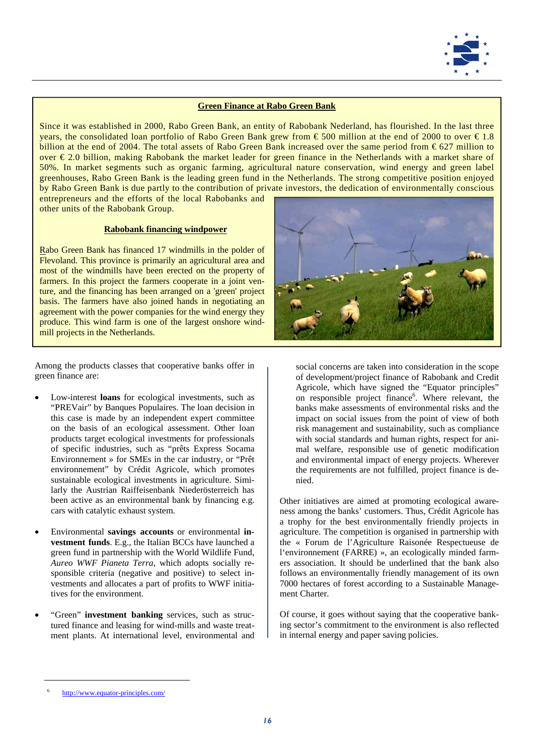

## **Green Finance at Rabo Green Bank**

Since it was established in 2000, Rabo Green Bank, an entity of Rabobank Nederland, has flourished. In the last three years, the consolidated loan portfolio of Rabo Green Bank grew from € 500 million at the end of 2000 to over € 1.8 billion at the end of 2004. The total assets of Rabo Green Bank increased over the same period from € 627 million to over € 2.0 billion, making Rabobank the market leader for green finance in the Netherlands with a market share of 50%. In market segments such as organic farming, agricultural nature conservation, wind energy and green label greenhouses, Rabo Green Bank is the leading green fund in the Netherlands. The strong competitive position enjoyed by Rabo Green Bank is due partly to the contribution of private investors, the dedication of environmentally conscious entrepreneurs and the efforts of the local Rabobanks and

other units of the Rabobank Group.

#### **Rabobank financing windpower**

Rabo Green Bank has financed 17 windmills in the polder of Flevoland. This province is primarily an agricultural area and most of the windmills have been erected on the property of farmers. In this project the farmers cooperate in a joint venture, and the financing has been arranged on a 'green' project basis. The farmers have also joined hands in negotiating an agreement with the power companies for the wind energy they produce. This wind farm is one of the largest onshore windmill projects in the Netherlands.

Among the products classes that cooperative banks offer in green finance are:

- Low-interest **loans** for ecological investments, such as "PREVair" by Banques Populaires. The loan decision in this case is made by an independent expert committee on the basis of an ecological assessment. Other loan products target ecological investments for professionals of specific industries, such as "prêts Express Socama Environnement » for SMEs in the car industry, or "Prêt environnement" by Crédit Agricole, which promotes sustainable ecological investments in agriculture. Similarly the Austrian Raiffeisenbank Niederösterreich has been active as an environmental bank by financing e.g. cars with catalytic exhaust system.
- Environmental **savings accounts** or environmental **investment funds**. E.g., the Italian BCCs have launched a green fund in partnership with the World Wildlife Fund, *Aureo WWF Pianeta Terra*, which adopts socially responsible criteria (negative and positive) to select investments and allocates a part of profits to WWF initiatives for the environment.
- "Green" **investment banking** services, such as structured finance and leasing for wind-mills and waste treatment plants. At international level, environmental and



social concerns are taken into consideration in the scope of development/project finance of Rabobank and Credit Agricole, which have signed the "Equator principles" on responsible project finance<sup>6</sup>. Where relevant, the banks make assessments of environmental risks and the impact on social issues from the point of view of both risk management and sustainability, such as compliance with social standards and human rights, respect for animal welfare, responsible use of genetic modification and environmental impact of energy projects. Wherever the requirements are not fulfilled, project finance is denied.

Other initiatives are aimed at promoting ecological awareness among the banks' customers. Thus, Crédit Agricole has a trophy for the best environmentally friendly projects in agriculture. The competition is organised in partnership with the « Forum de l'Agriculture Raisonée Respectueuse de l'environnement (FARRE) », an ecologically minded farmers association. It should be underlined that the bank also follows an environmentally friendly management of its own 7000 hectares of forest according to a Sustainable Management Charter.

Of course, it goes without saying that the cooperative banking sector's commitment to the environment is also reflected in internal energy and paper saving policies.

<sup>6</sup> http://www.equator-principles.com/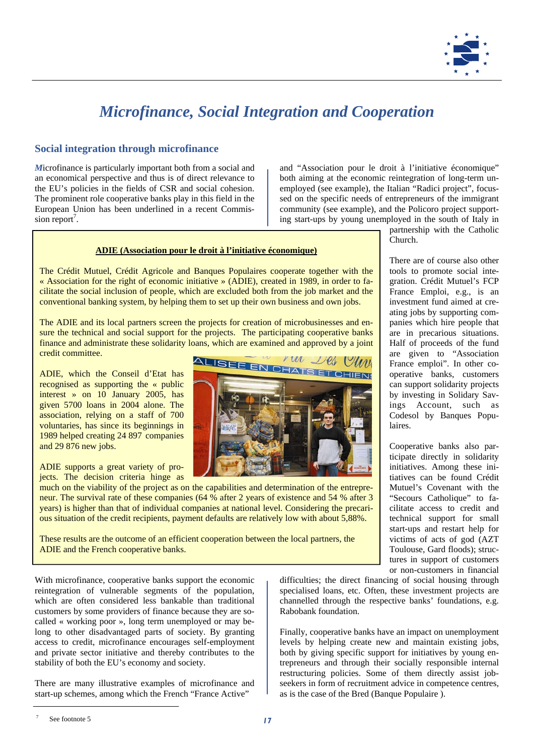

# *Microfinance, Social Integration and Cooperation*

## **Social integration through microfinance**

*M*icrofinance is particularly important both from a social and an economical perspective and thus is of direct relevance to the EU's policies in the fields of CSR and social cohesion. The prominent role cooperative banks play in this field in the European Union has been underlined in a recent Commission report<sup>7</sup>.

and "Association pour le droit à l'initiative économique" both aiming at the economic reintegration of long-term unemployed (see example), the Italian "Radici project", focussed on the specific needs of entrepreneurs of the immigrant community (see example), and the Policoro project supporting start-ups by young unemployed in the south of Italy in

#### **ADIE (Association pour le droit à l'initiative économique)**

The Crédit Mutuel, Crédit Agricole and Banques Populaires cooperate together with the « Association for the right of economic initiative » (ADIE), created in 1989, in order to facilitate the social inclusion of people, which are excluded both from the job market and the conventional banking system, by helping them to set up their own business and own jobs.

The ADIE and its local partners screen the projects for creation of microbusinesses and ensure the technical and social support for the projects. The participating cooperative banks finance and administrate these solidarity loans, which are examined and approved by a joint credit committee.

ADIE, which the Conseil d'Etat has recognised as supporting the « public interest » on 10 January 2005, has given 5700 loans in 2004 alone. The association, relying on a staff of 700 voluntaries, has since its beginnings in 1989 helped creating 24 897 companies and 29 876 new jobs.

ADIE supports a great variety of projects. The decision criteria hinge as

much on the viability of the project as on the capabilities and determination of the entrepreneur. The survival rate of these companies (64 % after 2 years of existence and 54 % after 3 years) is higher than that of individual companies at national level. Considering the precarious situation of the credit recipients, payment defaults are relatively low with about 5,88%.

These results are the outcome of an efficient cooperation between the local partners, the ADIE and the French cooperative banks.

With microfinance, cooperative banks support the economic reintegration of vulnerable segments of the population, which are often considered less bankable than traditional customers by some providers of finance because they are socalled « working poor », long term unemployed or may belong to other disadvantaged parts of society. By granting access to credit, microfinance encourages self-employment and private sector initiative and thereby contributes to the stability of both the EU's economy and society.

There are many illustrative examples of microfinance and start-up schemes, among which the French "France Active"



partnership with the Catholic Church.

There are of course also other tools to promote social integration. Crédit Mutuel's FCP France Emploi, e.g., is an investment fund aimed at creating jobs by supporting companies which hire people that are in precarious situations. Half of proceeds of the fund are given to "Association France emploi". In other cooperative banks, customers can support solidarity projects by investing in Solidary Savings Account, such as Codesol by Banques Populaires.

Cooperative banks also participate directly in solidarity initiatives. Among these initiatives can be found Crédit Mutuel's Covenant with the "Secours Catholique" to facilitate access to credit and technical support for small start-ups and restart help for victims of acts of god (AZT Toulouse, Gard floods); structures in support of customers or non-customers in financial

difficulties; the direct financing of social housing through specialised loans, etc. Often, these investment projects are channelled through the respective banks' foundations, e.g. Rabobank foundation.

Finally, cooperative banks have an impact on unemployment levels by helping create new and maintain existing jobs, both by giving specific support for initiatives by young entrepreneurs and through their socially responsible internal restructuring policies. Some of them directly assist jobseekers in form of recruitment advice in competence centres, as is the case of the Bred (Banque Populaire ).

<sup>7</sup> See footnote 5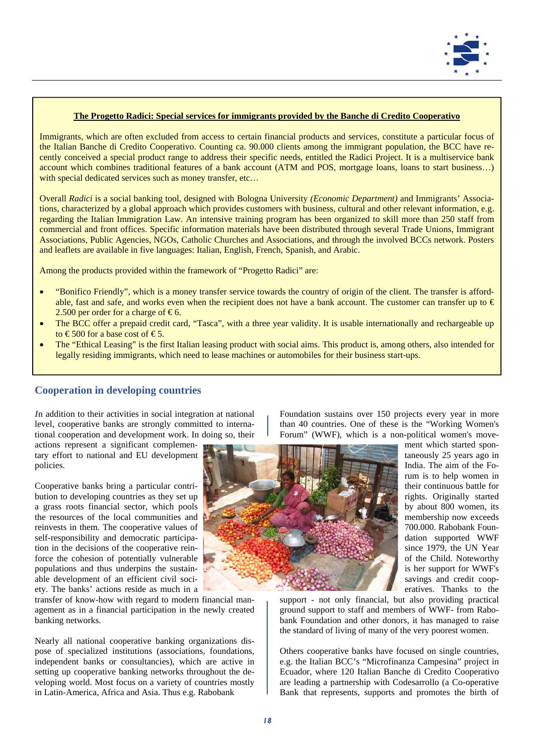

### **The Progetto Radici: Special services for immigrants provided by the Banche di Credito Cooperativo**

Immigrants, which are often excluded from access to certain financial products and services, constitute a particular focus of the Italian Banche di Credito Cooperativo. Counting ca. 90.000 clients among the immigrant population, the BCC have recently conceived a special product range to address their specific needs, entitled the Radici Project. It is a multiservice bank account which combines traditional features of a bank account (ATM and POS, mortgage loans, loans to start business…) with special dedicated services such as money transfer, etc...

Overall *Radici* is a social banking tool, designed with Bologna University *(Economic Department)* and Immigrants' Associations, characterized by a global approach which provides customers with business, cultural and other relevant information, e.g. regarding the Italian Immigration Law. An intensive training program has been organized to skill more than 250 staff from commercial and front offices. Specific information materials have been distributed through several Trade Unions, Immigrant Associations, Public Agencies, NGOs, Catholic Churches and Associations, and through the involved BCCs network. Posters and leaflets are available in five languages: Italian, English, French, Spanish, and Arabic.

Among the products provided within the framework of "Progetto Radici" are:

- "Bonifico Friendly", which is a money transfer service towards the country of origin of the client. The transfer is affordable, fast and safe, and works even when the recipient does not have a bank account. The customer can transfer up to  $\epsilon$ 2.500 per order for a charge of  $\epsilon$ 6.
- The BCC offer a prepaid credit card, "Tasca", with a three year validity. It is usable internationally and rechargeable up to  $\text{\textsterling}500$  for a base cost of  $\text{\textsterling}5$ .
- The "Ethical Leasing" is the first Italian leasing product with social aims. This product is, among others, also intended for legally residing immigrants, which need to lease machines or automobiles for their business start-ups.

## **Cooperation in developing countries**

*I*n addition to their activities in social integration at national level, cooperative banks are strongly committed to international cooperation and development work. In doing so, their

actions represent a significant complementary effort to national and EU development policies.

Cooperative banks bring a particular contribution to developing countries as they set up a grass roots financial sector, which pools the resources of the local communities and reinvests in them. The cooperative values of self-responsibility and democratic participation in the decisions of the cooperative reinforce the cohesion of potentially vulnerable populations and thus underpins the sustainable development of an efficient civil society. The banks' actions reside as much in a

transfer of know-how with regard to modern financial management as in a financial participation in the newly created banking networks.

Nearly all national cooperative banking organizations dispose of specialized institutions (associations, foundations, independent banks or consultancies), which are active in setting up cooperative banking networks throughout the developing world. Most focus on a variety of countries mostly in Latin-America, Africa and Asia. Thus e.g. Rabobank

Foundation sustains over 150 projects every year in more than 40 countries. One of these is the "Working Women's Forum" (WWF), which is a non-political women's move-



ment which started spontaneously 25 years ago in India. The aim of the Forum is to help women in their continuous battle for rights. Originally started by about 800 women, its membership now exceeds 700.000. Rabobank Foundation supported WWF since 1979, the UN Year of the Child. Noteworthy is her support for WWF's savings and credit cooperatives. Thanks to the

support - not only financial, but also providing practical ground support to staff and members of WWF- from Rabobank Foundation and other donors, it has managed to raise the standard of living of many of the very poorest women.

Others cooperative banks have focused on single countries, e.g. the Italian BCC's "Microfinanza Campesina" project in Ecuador, where 120 Italian Banche di Credito Cooperativo are leading a partnership with Codesarrollo (a Co-operative Bank that represents, supports and promotes the birth of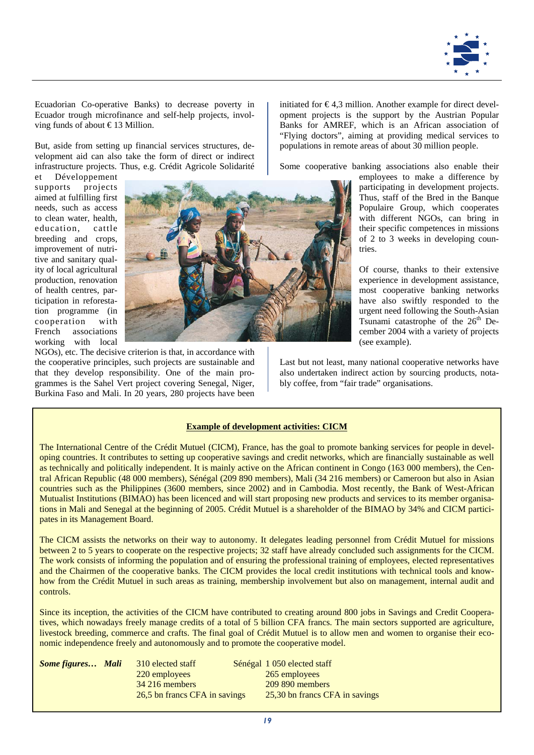

Ecuadorian Co-operative Banks) to decrease poverty in Ecuador trough microfinance and self-help projects, involving funds of about € 13 Million.

But, aside from setting up financial services structures, development aid can also take the form of direct or indirect infrastructure projects. Thus, e.g. Crédit Agricole Solidarité

et Développement supports projects aimed at fulfilling first needs, such as access to clean water, health, education, cattle breeding and crops, improvement of nutritive and sanitary quality of local agricultural production, renovation of health centres, participation in reforestation programme (in cooperation with French associations working with local



NGOs), etc. The decisive criterion is that, in accordance with the cooperative principles, such projects are sustainable and that they develop responsibility. One of the main programmes is the Sahel Vert project covering Senegal, Niger, Burkina Faso and Mali. In 20 years, 280 projects have been initiated for  $\epsilon$ 4,3 million. Another example for direct development projects is the support by the Austrian Popular Banks for AMREF, which is an African association of "Flying doctors", aiming at providing medical services to populations in remote areas of about 30 million people.

Some cooperative banking associations also enable their

employees to make a difference by participating in development projects. Thus, staff of the Bred in the Banque Populaire Group, which cooperates with different NGOs, can bring in their specific competences in missions of 2 to 3 weeks in developing countries.

Of course, thanks to their extensive experience in development assistance, most cooperative banking networks have also swiftly responded to the urgent need following the South-Asian Tsunami catastrophe of the  $26<sup>th</sup>$  December 2004 with a variety of projects (see example).

Last but not least, many national cooperative networks have also undertaken indirect action by sourcing products, notably coffee, from "fair trade" organisations.

## **Example of development activities: CICM**

The International Centre of the Crédit Mutuel (CICM), France, has the goal to promote banking services for people in developing countries. It contributes to setting up cooperative savings and credit networks, which are financially sustainable as well as technically and politically independent. It is mainly active on the African continent in Congo (163 000 members), the Central African Republic (48 000 members), Sénégal (209 890 members), Mali (34 216 members) or Cameroon but also in Asian countries such as the Philippines (3600 members, since 2002) and in Cambodia. Most recently, the Bank of West-African Mutualist Institutions (BIMAO) has been licenced and will start proposing new products and services to its member organisations in Mali and Senegal at the beginning of 2005. Crédit Mutuel is a shareholder of the BIMAO by 34% and CICM participates in its Management Board.

The CICM assists the networks on their way to autonomy. It delegates leading personnel from Crédit Mutuel for missions between 2 to 5 years to cooperate on the respective projects; 32 staff have already concluded such assignments for the CICM. The work consists of informing the population and of ensuring the professional training of employees, elected representatives and the Chairmen of the cooperative banks. The CICM provides the local credit institutions with technical tools and knowhow from the Crédit Mutuel in such areas as training, membership involvement but also on management, internal audit and controls.

Since its inception, the activities of the CICM have contributed to creating around 800 jobs in Savings and Credit Cooperatives, which nowadays freely manage credits of a total of 5 billion CFA francs. The main sectors supported are agriculture, livestock breeding, commerce and crafts. The final goal of Crédit Mutuel is to allow men and women to organise their economic independence freely and autonomously and to promote the cooperative model.

| <b>Some figures Mali</b> | 310 elected staff             | Sénégal 1 050 elected staff    |
|--------------------------|-------------------------------|--------------------------------|
|                          | 220 employees                 | 265 employees                  |
|                          | 34 216 members                | 209 890 members                |
|                          | 26.5 bn francs CFA in savings | 25,30 bn francs CFA in savings |
|                          |                               |                                |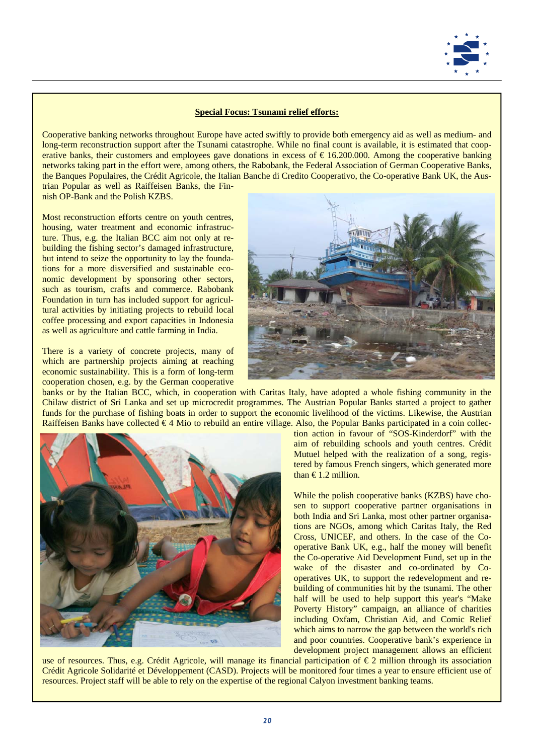

### **Special Focus: Tsunami relief efforts:**

Cooperative banking networks throughout Europe have acted swiftly to provide both emergency aid as well as medium- and long-term reconstruction support after the Tsunami catastrophe. While no final count is available, it is estimated that cooperative banks, their customers and employees gave donations in excess of  $\epsilon$  16.200.000. Among the cooperative banking networks taking part in the effort were, among others, the Rabobank, the Federal Association of German Cooperative Banks, the Banques Populaires, the Crédit Agricole, the Italian Banche di Credito Cooperativo, the Co-operative Bank UK, the Austrian Popular as well as Raiffeisen Banks, the Finnish OP-Bank and the Polish KZBS.

Most reconstruction efforts centre on youth centres, housing, water treatment and economic infrastructure. Thus, e.g. the Italian BCC aim not only at rebuilding the fishing sector's damaged infrastructure, but intend to seize the opportunity to lay the foundations for a more disversified and sustainable economic development by sponsoring other sectors, such as tourism, crafts and commerce. Rabobank Foundation in turn has included support for agricultural activities by initiating projects to rebuild local coffee processing and export capacities in Indonesia as well as agriculture and cattle farming in India.

There is a variety of concrete projects, many of which are partnership projects aiming at reaching economic sustainability. This is a form of long-term cooperation chosen, e.g. by the German cooperative



banks or by the Italian BCC, which, in cooperation with Caritas Italy, have adopted a whole fishing community in the Chilaw district of Sri Lanka and set up microcredit programmes. The Austrian Popular Banks started a project to gather funds for the purchase of fishing boats in order to support the economic livelihood of the victims. Likewise, the Austrian Raiffeisen Banks have collected  $\epsilon$ 4 Mio to rebuild an entire village. Also, the Popular Banks participated in a coin collec-



tion action in favour of "SOS-Kinderdorf" with the aim of rebuilding schools and youth centres. Crédit Mutuel helped with the realization of a song, registered by famous French singers, which generated more than  $\text{\textsterling}1.2$  million.

While the polish cooperative banks (KZBS) have chosen to support cooperative partner organisations in both India and Sri Lanka, most other partner organisations are NGOs, among which Caritas Italy, the Red Cross, UNICEF, and others. In the case of the Cooperative Bank UK, e.g., half the money will benefit the Co-operative Aid Development Fund, set up in the wake of the disaster and co-ordinated by Cooperatives UK, to support the redevelopment and rebuilding of communities hit by the tsunami. The other half will be used to help support this year's "Make Poverty History" campaign, an alliance of charities including Oxfam, Christian Aid, and Comic Relief which aims to narrow the gap between the world's rich and poor countries. Cooperative bank's experience in development project management allows an efficient

use of resources. Thus, e.g. Crédit Agricole, will manage its financial participation of €2 million through its association Crédit Agricole Solidarité et Développement (CASD). Projects will be monitored four times a year to ensure efficient use of resources. Project staff will be able to rely on the expertise of the regional Calyon investment banking teams.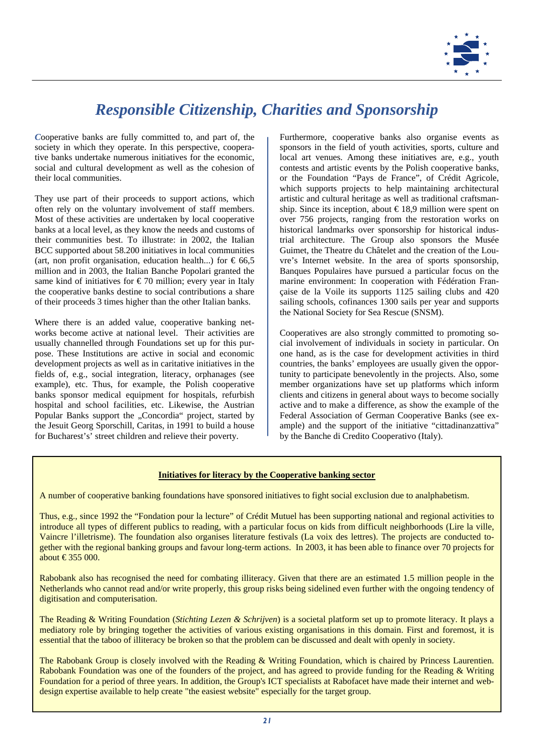

# *Responsible Citizenship, Charities and Sponsorship*

*C*ooperative banks are fully committed to, and part of, the society in which they operate. In this perspective, cooperative banks undertake numerous initiatives for the economic, social and cultural development as well as the cohesion of their local communities.

They use part of their proceeds to support actions, which often rely on the voluntary involvement of staff members. Most of these activities are undertaken by local cooperative banks at a local level, as they know the needs and customs of their communities best. To illustrate: in 2002, the Italian BCC supported about 58.200 initiatives in local communities (art, non profit organisation, education health...) for  $\epsilon$  66,5 million and in 2003, the Italian Banche Popolari granted the same kind of initiatives for  $\epsilon$  70 million; every year in Italy the cooperative banks destine to social contributions a share of their proceeds 3 times higher than the other Italian banks.

Where there is an added value, cooperative banking networks become active at national level. Their activities are usually channelled through Foundations set up for this purpose. These Institutions are active in social and economic development projects as well as in caritative initiatives in the fields of, e.g., social integration, literacy, orphanages (see example), etc. Thus, for example, the Polish cooperative banks sponsor medical equipment for hospitals, refurbish hospital and school facilities, etc. Likewise, the Austrian Popular Banks support the "Concordia" project, started by the Jesuit Georg Sporschill, Caritas, in 1991 to build a house for Bucharest's' street children and relieve their poverty.

Furthermore, cooperative banks also organise events as sponsors in the field of youth activities, sports, culture and local art venues. Among these initiatives are, e.g., youth contests and artistic events by the Polish cooperative banks, or the Foundation "Pays de France", of Crédit Agricole, which supports projects to help maintaining architectural artistic and cultural heritage as well as traditional craftsmanship. Since its inception, about  $\in$  18,9 million were spent on over 756 projects, ranging from the restoration works on historical landmarks over sponsorship for historical industrial architecture. The Group also sponsors the Musée Guimet, the Theatre du Châtelet and the creation of the Louvre's Internet website. In the area of sports sponsorship, Banques Populaires have pursued a particular focus on the marine environment: In cooperation with Fédération Française de la Voile its supports 1125 sailing clubs and 420 sailing schools, cofinances 1300 sails per year and supports the National Society for Sea Rescue (SNSM).

Cooperatives are also strongly committed to promoting social involvement of individuals in society in particular. On one hand, as is the case for development activities in third countries, the banks' employees are usually given the opportunity to participate benevolently in the projects. Also, some member organizations have set up platforms which inform clients and citizens in general about ways to become socially active and to make a difference, as show the example of the Federal Association of German Cooperative Banks (see example) and the support of the initiative "cittadinanzattiva" by the Banche di Credito Cooperativo (Italy).

### **Initiatives for literacy by the Cooperative banking sector**

A number of cooperative banking foundations have sponsored initiatives to fight social exclusion due to analphabetism.

Thus, e.g., since 1992 the "Fondation pour la lecture" of Crédit Mutuel has been supporting national and regional activities to introduce all types of different publics to reading, with a particular focus on kids from difficult neighborhoods (Lire la ville, Vaincre l'illetrisme). The foundation also organises literature festivals (La voix des lettres). The projects are conducted together with the regional banking groups and favour long-term actions. In 2003, it has been able to finance over 70 projects for about €355 000.

Rabobank also has recognised the need for combating illiteracy. Given that there are an estimated 1.5 million people in the Netherlands who cannot read and/or write properly, this group risks being sidelined even further with the ongoing tendency of digitisation and computerisation.

The Reading & Writing Foundation (*Stichting Lezen & Schrijven*) is a societal platform set up to promote literacy. It plays a mediatory role by bringing together the activities of various existing organisations in this domain. First and foremost, it is essential that the taboo of illiteracy be broken so that the problem can be discussed and dealt with openly in society.

The Rabobank Group is closely involved with the Reading & Writing Foundation, which is chaired by Princess Laurentien. Rabobank Foundation was one of the founders of the project, and has agreed to provide funding for the Reading & Writing Foundation for a period of three years. In addition, the Group's ICT specialists at Rabofacet have made their internet and webdesign expertise available to help create "the easiest website" especially for the target group.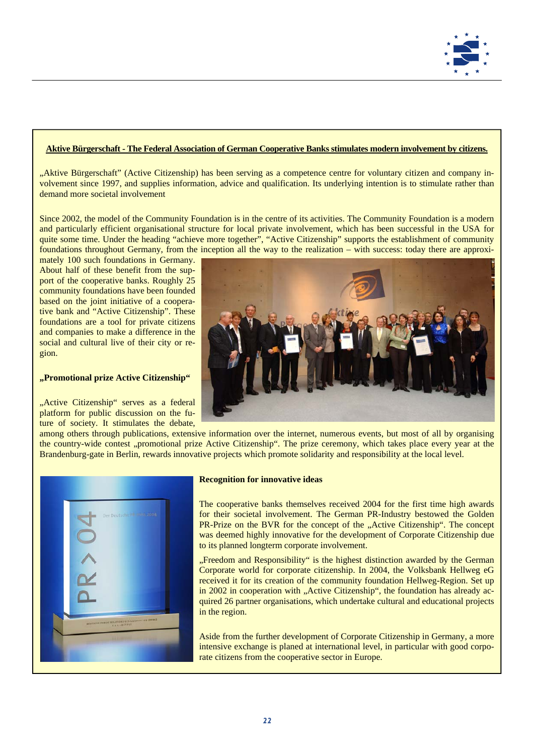

### **Aktive Bürgerschaft - The Federal Association of German Cooperative Banks stimulates modern involvement by citizens.**

"Aktive Bürgerschaft" (Active Citizenship) has been serving as a competence centre for voluntary citizen and company involvement since 1997, and supplies information, advice and qualification. Its underlying intention is to stimulate rather than demand more societal involvement

Since 2002, the model of the Community Foundation is in the centre of its activities. The Community Foundation is a modern and particularly efficient organisational structure for local private involvement, which has been successful in the USA for quite some time. Under the heading "achieve more together", "Active Citizenship" supports the establishment of community foundations throughout Germany, from the inception all the way to the realization – with success: today there are approxi-

mately 100 such foundations in Germany. About half of these benefit from the support of the cooperative banks. Roughly 25 community foundations have been founded based on the joint initiative of a cooperative bank and "Active Citizenship". These foundations are a tool for private citizens and companies to make a difference in the social and cultural live of their city or region.

### **"Promotional prize Active Citizenship"**

"Active Citizenship" serves as a federal platform for public discussion on the future of society. It stimulates the debate,



among others through publications, extensive information over the internet, numerous events, but most of all by organising the country-wide contest "promotional prize Active Citizenship". The prize ceremony, which takes place every year at the Brandenburg-gate in Berlin, rewards innovative projects which promote solidarity and responsibility at the local level.



#### **Recognition for innovative ideas**

The cooperative banks themselves received 2004 for the first time high awards for their societal involvement. The German PR-Industry bestowed the Golden PR-Prize on the BVR for the concept of the "Active Citizenship". The concept was deemed highly innovative for the development of Corporate Citizenship due to its planned longterm corporate involvement.

"Freedom and Responsibility" is the highest distinction awarded by the German Corporate world for corporate citizenship. In 2004, the Volksbank Hellweg eG received it for its creation of the community foundation Hellweg-Region. Set up in 2002 in cooperation with "Active Citizenship", the foundation has already acquired 26 partner organisations, which undertake cultural and educational projects in the region.

Aside from the further development of Corporate Citizenship in Germany, a more intensive exchange is planed at international level, in particular with good corporate citizens from the cooperative sector in Europe.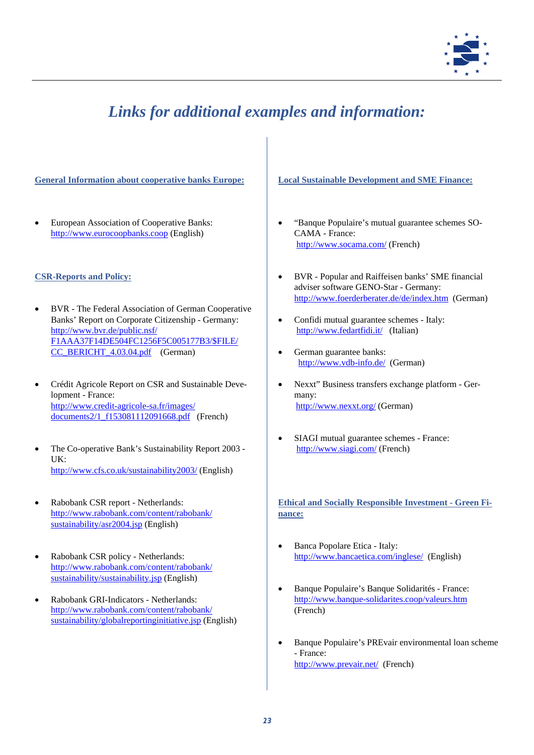

# *Links for additional examples and information:*

**General Information about cooperative banks Europe:** 

• European Association of Cooperative Banks: http://www.eurocoopbanks.coop (English)

## **CSR-Reports and Policy:**

- BVR The Federal Association of German Cooperative Banks' Report on Corporate Citizenship - Germany: http://www.bvr.de/public.nsf/ F1AAA37F14DE504FC1256F5C005177B3/\$FILE/ CC\_BERICHT\_4.03.04.pdf (German)
- Crédit Agricole Report on CSR and Sustainable Development - France: http://www.credit-agricole-sa.fr/images/ documents2/1\_f153081112091668.pdf (French)
- The Co-operative Bank's Sustainability Report 2003 UK: http://www.cfs.co.uk/sustainability2003/ (English)
- Rabobank CSR report Netherlands: http://www.rabobank.com/content/rabobank/ sustainability/asr2004.jsp (English)
- Rabobank CSR policy Netherlands: http://www.rabobank.com/content/rabobank/ sustainability/sustainability.jsp (English)
- Rabobank GRI-Indicators Netherlands: http://www.rabobank.com/content/rabobank/ sustainability/globalreportinginitiative.jsp (English)

## **Local Sustainable Development and SME Finance:**

- "Banque Populaire's mutual guarantee schemes SO-CAMA - France: http://www.socama.com/ (French)
- BVR Popular and Raiffeisen banks' SME financial adviser software GENO-Star - Germany: http://www.foerderberater.de/de/index.htm (German)
- Confidi mutual guarantee schemes Italy: http://www.fedartfidi.it/ (Italian)
- German guarantee banks: http://www.vdb-info.de/ (German)
- Nexxt" Business transfers exchange platform Germany: http://www.nexxt.org/ (German)
- SIAGI mutual guarantee schemes France: http://www.siagi.com/ (French)

**Ethical and Socially Responsible Investment - Green Finance:** 

- Banca Popolare Etica Italy: http://www.bancaetica.com/inglese/ (English)
- Banque Populaire's Banque Solidarités France: http://www.banque-solidarites.coop/valeurs.htm (French)
- Banque Populaire's PREvair environmental loan scheme - France: http://www.prevair.net/ (French)